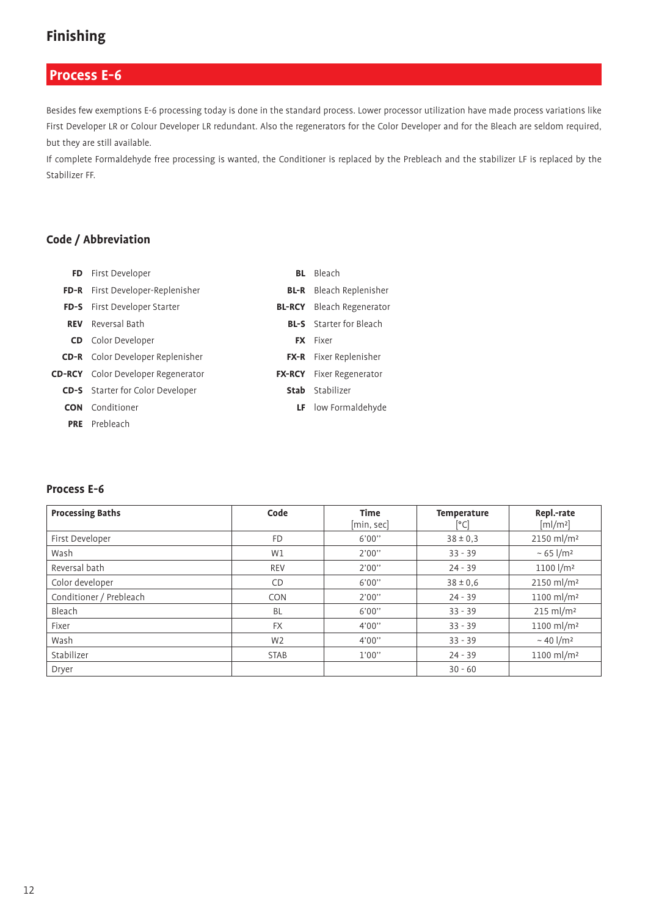### **Process E-6**

Besides few exemptions E-6 processing today is done in the standard process. Lower processor utilization have made process variations like First Developer LR or Colour Developer LR redundant. Also the regenerators for the Color Developer and for the Bleach are seldom required, but they are still available.

If complete Formaldehyde free processing is wanted, the Conditioner is replaced by the Prebleach and the stabilizer LF is replaced by the Stabilizer FF.

#### **Code / Abbreviation**

|            | FD First Developer                        | <b>BL</b> Bleach                 |
|------------|-------------------------------------------|----------------------------------|
|            | FD-R First Developer-Replenisher          | <b>BL-R</b> Bleach Replenisher   |
|            | FD-S First Developer Starter              | <b>BL-RCY</b> Bleach Regenerator |
| <b>REV</b> | Reversal Bath                             | <b>BL-S</b> Starter for Bleach   |
|            | <b>CD</b> Color Developer                 | <b>FX</b> Fixer                  |
|            | <b>CD-R</b> Color Developer Replenisher   | FX-R Fixer Replenisher           |
|            | <b>CD-RCY</b> Color Developer Regenerator | <b>FX-RCY</b> Fixer Regenerator  |
|            | <b>CD-S</b> Starter for Color Developer   | <b>Stab</b> Stabilizer           |
| <b>CON</b> | Conditioner                               | <b>LF</b> low Formaldehyde       |
|            | <b>PRE</b> Prebleach                      |                                  |

#### **Process E-6**

| <b>Processing Baths</b> | Code           | <b>Time</b><br>[min, sec] | <b>Temperature</b><br>[°C] | Repl .- rate<br>[m]/m <sup>2</sup> ] |
|-------------------------|----------------|---------------------------|----------------------------|--------------------------------------|
| First Developer         | <b>FD</b>      | 6'00"                     | $38 \pm 0.3$               | $2150$ ml/m <sup>2</sup>             |
| Wash                    | W1             | 2'00"                     | $33 - 39$                  | ~ 65 $1/m2$                          |
| Reversal bath           | <b>REV</b>     | 2'00"                     | $24 - 39$                  | 1100 l/m <sup>2</sup>                |
| Color developer         | CD             | 6'00"                     | $38 \pm 0.6$               | 2150 ml/m <sup>2</sup>               |
| Conditioner / Prebleach | <b>CON</b>     | 2'00"                     | $24 - 39$                  | 1100 ml/m <sup>2</sup>               |
| Bleach                  | <b>BL</b>      | 6'00"                     | $33 - 39$                  | $215$ ml/m <sup>2</sup>              |
| Fixer                   | <b>FX</b>      | 4'00''                    | $33 - 39$                  | 1100 ml/m <sup>2</sup>               |
| Wash                    | W <sub>2</sub> | 4'00''                    | $33 - 39$                  | $~\sim$ 40 l/m <sup>2</sup>          |
| Stabilizer              | <b>STAB</b>    | 1'00"                     | $24 - 39$                  | 1100 ml/m <sup>2</sup>               |
| Dryer                   |                |                           | $30 - 60$                  |                                      |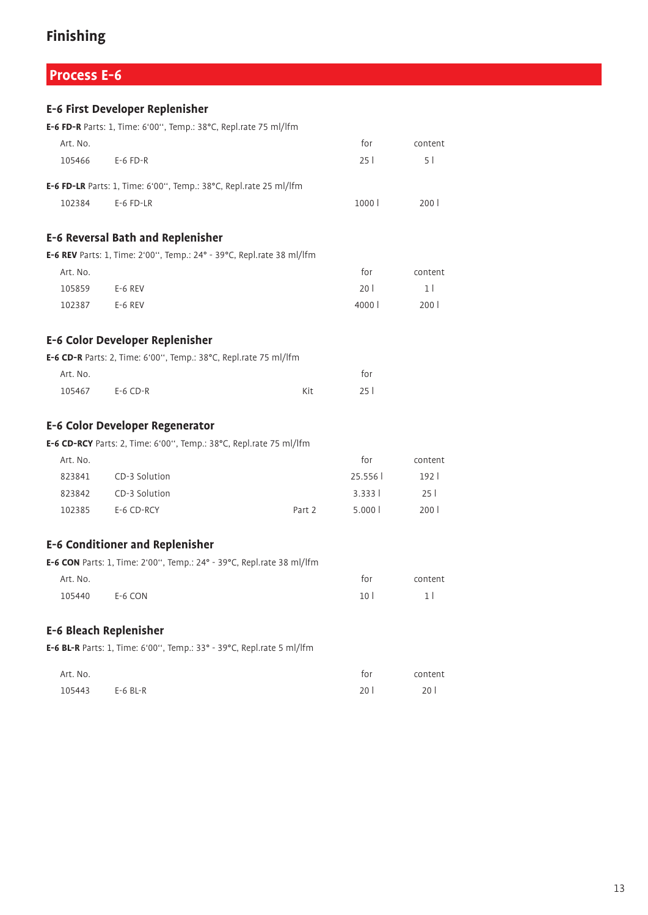## **Process E-6**

|          | E-6 First Developer Replenisher                                       |        |        |                  |
|----------|-----------------------------------------------------------------------|--------|--------|------------------|
|          | E-6 FD-R Parts: 1, Time: 6'00", Temp.: 38°C, Repl.rate 75 ml/lfm      |        |        |                  |
| Art. No. |                                                                       |        | for    | content          |
| 105466   | $E-6$ FD-R                                                            |        | 251    | 51               |
|          | E-6 FD-LR Parts: 1, Time: 6'00", Temp.: 38°C, Repl.rate 25 ml/lfm     |        |        |                  |
| 102384   | $E-6$ FD-LR                                                           |        | 1000 l | 200 l            |
|          | <b>E-6 Reversal Bath and Replenisher</b>                              |        |        |                  |
|          | E-6 REV Parts: 1, Time: 2'00", Temp.: 24° - 39°C, Repl.rate 38 ml/lfm |        |        |                  |
| Art. No. |                                                                       |        | for    | content          |
| 105859   | E-6 REV                                                               |        | 20 l   | 1 <sup>1</sup>   |
| 102387   | E-6 REV                                                               |        | 4000 l | 200 l            |
|          | E-6 Color Developer Replenisher                                       |        |        |                  |
|          | E-6 CD-R Parts: 2, Time: 6'00", Temp.: 38°C, Repl.rate 75 ml/lfm      |        |        |                  |
| Art. No. |                                                                       |        | for    |                  |
| 105467   | $E-6$ CD-R                                                            | Kit    | 25 l   |                  |
|          | <b>E-6 Color Developer Regenerator</b>                                |        |        |                  |
|          | E-6 CD-RCY Parts: 2, Time: 6'00", Temp.: 38°C, Repl.rate 75 ml/lfm    |        |        |                  |
| Art. No. |                                                                       |        | for    | content          |
| 823841   | CD-3 Solution                                                         |        | 25.556 | 1921             |
|          | 823842 CD-3 Solution                                                  |        | 3.3331 | 251              |
| 102385   | E-6 CD-RCY                                                            | Part 2 | 5.0001 | 200 <sub>1</sub> |
|          | <b>E-6 Conditioner and Replenisher</b>                                |        |        |                  |
|          | E-6 CON Parts: 1, Time: 2'00", Temp.: 24° - 39°C, Repl.rate 38 ml/lfm |        |        |                  |
| Art. No. |                                                                       |        | for    | content          |
| 105440   | E-6 CON                                                               |        | 10 l   | 1 <sup>1</sup>   |
|          | <b>E-6 Bleach Replenisher</b>                                         |        |        |                  |
|          | E-6 BL-R Parts: 1, Time: 6'00", Temp.: 33° - 39°C, Repl.rate 5 ml/lfm |        |        |                  |
|          |                                                                       |        |        |                  |

| Art. No.        |  | for             | content |
|-----------------|--|-----------------|---------|
| 105443 E-6 BL-R |  | 20 <sup>1</sup> | 201     |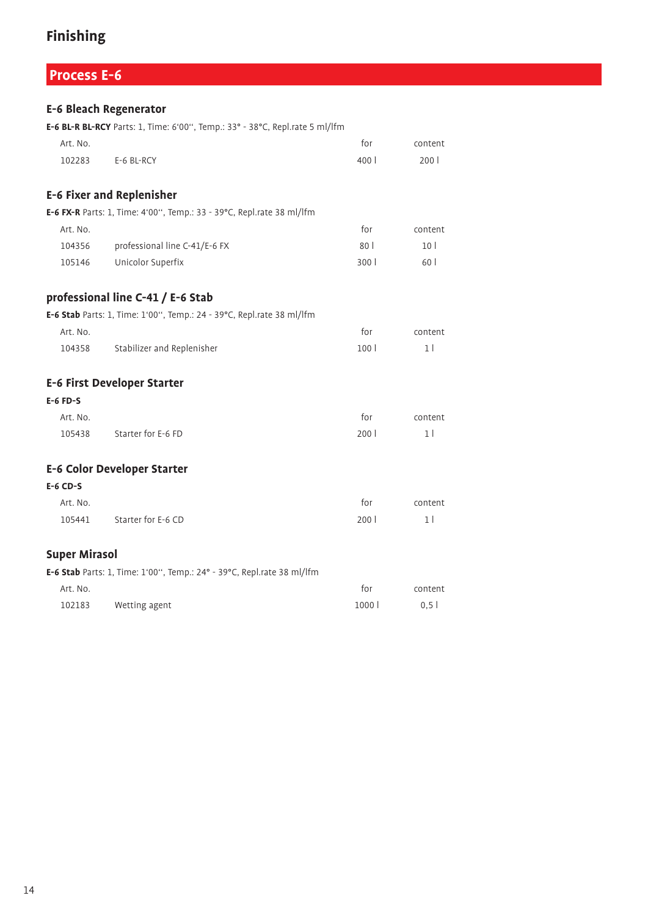# **Process E-6**

|                      | <b>E-6 Bleach Regenerator</b>                                                |        |                 |
|----------------------|------------------------------------------------------------------------------|--------|-----------------|
|                      | E-6 BL-R BL-RCY Parts: 1, Time: 6'00", Temp.: 33° - 38°C, Repl.rate 5 ml/lfm |        |                 |
| Art. No.             |                                                                              | for    | content         |
| 102283               | E-6 BL-RCY                                                                   | 400    | 2001            |
|                      | <b>E-6 Fixer and Replenisher</b>                                             |        |                 |
|                      | E-6 FX-R Parts: 1, Time: 4'00", Temp.: 33 - 39°C, Repl.rate 38 ml/lfm        |        |                 |
| Art. No.             |                                                                              | for    | content         |
| 104356               | professional line C-41/E-6 FX                                                | 80     | 10 <sup>1</sup> |
| 105146               | Unicolor Superfix                                                            | 300    | 60 l            |
|                      | professional line C-41 / E-6 Stab                                            |        |                 |
|                      | E-6 Stab Parts: 1, Time: 1'00", Temp.: 24 - 39°C, Repl.rate 38 ml/lfm        |        |                 |
| Art. No.             |                                                                              | for    | content         |
| 104358               | Stabilizer and Replenisher                                                   | 100 l  | 1 <sup>1</sup>  |
|                      | <b>E-6 First Developer Starter</b>                                           |        |                 |
| $E-6$ FD-S           |                                                                              |        |                 |
| Art. No.             |                                                                              | for    | content         |
| 105438               | Starter for E-6 FD                                                           | 2001   | 1 <sup>1</sup>  |
|                      | <b>E-6 Color Developer Starter</b>                                           |        |                 |
| $E-6$ CD-S           |                                                                              |        |                 |
| Art. No.             |                                                                              | for    | content         |
| 105441               | Starter for E-6 CD                                                           | 2001   | 11              |
| <b>Super Mirasol</b> |                                                                              |        |                 |
|                      | E-6 Stab Parts: 1, Time: 1'00", Temp.: 24° - 39°C, Repl.rate 38 ml/lfm       |        |                 |
| Art. No.             |                                                                              | for    | content         |
| 102183               | Wetting agent                                                                | 1000 l | 0.51            |